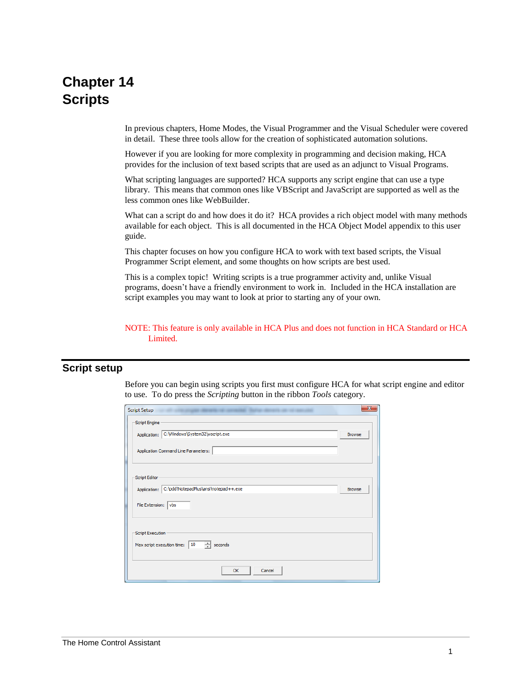# **Chapter 14 Scripts**

In previous chapters, Home Modes, the Visual Programmer and the Visual Scheduler were covered in detail. These three tools allow for the creation of sophisticated automation solutions.

However if you are looking for more complexity in programming and decision making, HCA provides for the inclusion of text based scripts that are used as an adjunct to Visual Programs.

What scripting languages are supported? HCA supports any script engine that can use a type library. This means that common ones like VBScript and JavaScript are supported as well as the less common ones like WebBuilder.

What can a script do and how does it do it? HCA provides a rich object model with many methods available for each object. This is all documented in the HCA Object Model appendix to this user guide.

This chapter focuses on how you configure HCA to work with text based scripts, the Visual Programmer Script element, and some thoughts on how scripts are best used.

This is a complex topic! Writing scripts is a true programmer activity and, unlike Visual programs, doesn't have a friendly environment to work in. Included in the HCA installation are script examples you may want to look at prior to starting any of your own.

NOTE: This feature is only available in HCA Plus and does not function in HCA Standard or HCA Limited.

#### **Script setup**

Before you can begin using scripts you first must configure HCA for what script engine and editor to use. To do press the *Scripting* button in the ribbon *Tools* category.

| <b>Script Setup</b>                                                  | $\mathbf{x}$  |
|----------------------------------------------------------------------|---------------|
| Script Engine                                                        |               |
| C:\Windows\System32\wscript.exe<br>Application:                      | <b>Browse</b> |
| Application Command Line Parameters:                                 |               |
| Script Editor                                                        |               |
| Application: C:\pdd\NotepadPlus\ansi\notepad++.exe                   | <b>Browse</b> |
| File Extension:   vbs                                                |               |
| Script Execution<br>÷<br>Max script execution time:<br>10<br>seconds |               |
| Cancel<br>OK                                                         |               |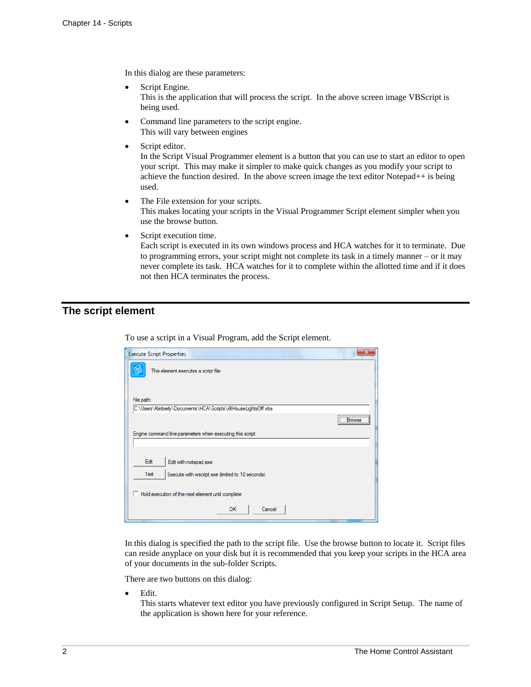In this dialog are these parameters:

- Script Engine. This is the application that will process the script. In the above screen image VBScript is being used.
- Command line parameters to the script engine. This will vary between engines
- Script editor.

In the Script Visual Programmer element is a button that you can use to start an editor to open your script. This may make it simpler to make quick changes as you modify your script to achieve the function desired. In the above screen image the text editor Notepad++ is being used.

- The File extension for your scripts. This makes locating your scripts in the Visual Programmer Script element simpler when you use the browse button.
- Script execution time.

Each script is executed in its own windows process and HCA watches for it to terminate. Due to programming errors, your script might not complete its task in a timely manner – or it may never complete its task. HCA watches for it to complete within the allotted time and if it does not then HCA terminates the process.

### **The script element**

| <b>Execute Script Properties</b>                              |                                 |
|---------------------------------------------------------------|---------------------------------|
| This element executes a script file                           |                                 |
| File path:                                                    |                                 |
| C:\Users\Kimberly\Documents\HCA\Scripts\AllHouseLightsOff.vbs |                                 |
|                                                               | , <u></u><br><b>Browse</b><br>\ |
| Engine command line parameters when executing this script:    |                                 |
|                                                               |                                 |
| Edit<br>Edit with notepad.exe                                 |                                 |
| Test<br>Execute with wscript.exe (limited to 10 seconds)      |                                 |
| Hold execution of the next element until complete<br>п        |                                 |
| OK<br>Cancel                                                  |                                 |

To use a script in a Visual Program, add the Script element.

In this dialog is specified the path to the script file. Use the browse button to locate it. Script files can reside anyplace on your disk but it is recommended that you keep your scripts in the HCA area of your documents in the sub-folder Scripts.

There are two buttons on this dialog:

• Edit.

This starts whatever text editor you have previously configured in Script Setup. The name of the application is shown here for your reference.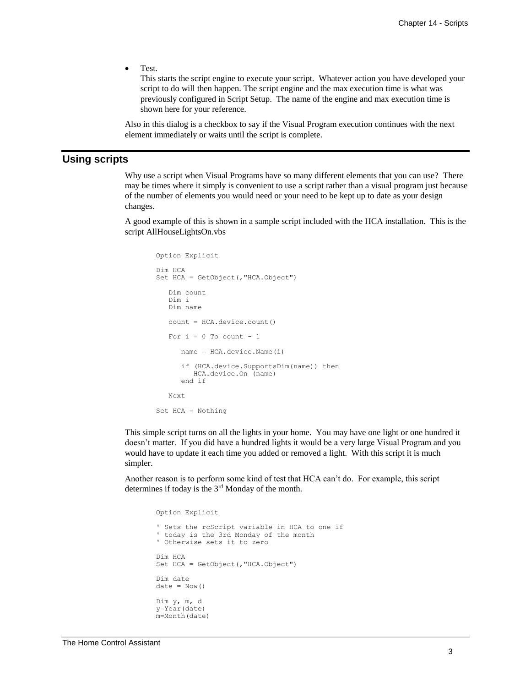• Test.

This starts the script engine to execute your script. Whatever action you have developed your script to do will then happen. The script engine and the max execution time is what was previously configured in Script Setup. The name of the engine and max execution time is shown here for your reference.

Also in this dialog is a checkbox to say if the Visual Program execution continues with the next element immediately or waits until the script is complete.

### **Using scripts**

Why use a script when Visual Programs have so many different elements that you can use? There may be times where it simply is convenient to use a script rather than a visual program just because of the number of elements you would need or your need to be kept up to date as your design changes.

A good example of this is shown in a sample script included with the HCA installation. This is the script AllHouseLightsOn.vbs

```
Option Explicit 
Dim HCA
Set HCA = GetObject(,"HCA.Object")
    Dim count
    Dim i
    Dim name
    count = HCA.device.count()
   For i = 0 To count - 1
       name = HCA.device.Name(i)
       if (HCA.device.SupportsDim(name)) then
         HCA.device.On (name)
       end if
    Next
Set HCA = Nothing
```
This simple script turns on all the lights in your home. You may have one light or one hundred it doesn't matter. If you did have a hundred lights it would be a very large Visual Program and you would have to update it each time you added or removed a light. With this script it is much simpler.

Another reason is to perform some kind of test that HCA can't do. For example, this script determines if today is the 3rd Monday of the month.

Option Explicit ' Sets the rcScript variable in HCA to one if ' today is the 3rd Monday of the month ' Otherwise sets it to zero Dim HCA Set HCA = GetObject(,"HCA.Object") Dim date  $date = Now()$ Dim y, m, d y=Year(date) m=Month(date)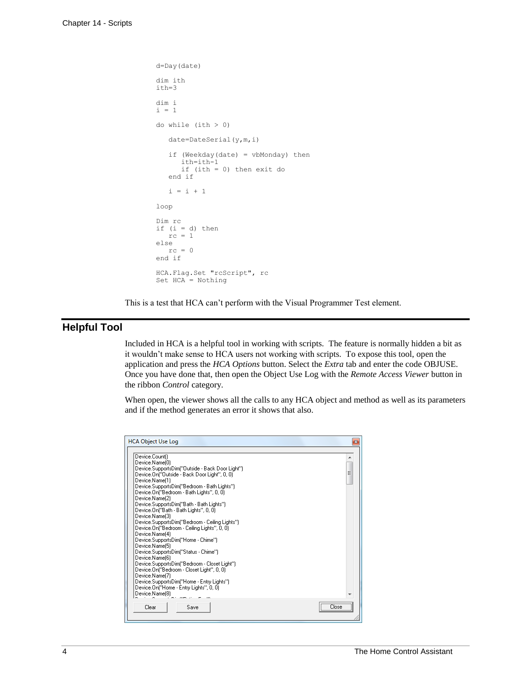```
d=Day(date)
dim ith
ith=3
dim i
i = 1
do while (ith > 0)
     date=DateSerial(y,m,i)
     if (Weekday(date) = vbMonday) then
        ith=ith-1
        if (ith = 0) then exit do
     end if
    \begin{array}{rcl} \mathtt{i} & = & \mathtt{i} & + & \mathtt{1} \end{array}loop
Dim rc
if (i = d) then
   rc = 1else
   rc = 0end if
HCA.Flag.Set "rcScript", rc
Set HCA = Nothing
```
This is a test that HCA can't perform with the Visual Programmer Test element.

## **Helpful Tool**

Included in HCA is a helpful tool in working with scripts. The feature is normally hidden a bit as it wouldn't make sense to HCA users not working with scripts. To expose this tool, open the application and press the *HCA Options* button. Select the *Extra* tab and enter the code OBJUSE. Once you have done that, then open the Object Use Log with the *Remote Access Viewer* button in the ribbon *Control* category.

When open, the viewer shows all the calls to any HCA object and method as well as its parameters and if the method generates an error it shows that also.

| <b>HCA Object Use Log</b>                                                                                                                                                                                                                                                                                                                                                                                                                                                                                                                                                                                                                                                                                                                                                                                             | $\mathbf{R}$ |
|-----------------------------------------------------------------------------------------------------------------------------------------------------------------------------------------------------------------------------------------------------------------------------------------------------------------------------------------------------------------------------------------------------------------------------------------------------------------------------------------------------------------------------------------------------------------------------------------------------------------------------------------------------------------------------------------------------------------------------------------------------------------------------------------------------------------------|--------------|
| Device.Count()<br>Device.Name(0)<br>Device.SupportsDim("Outside - Back Door Light").<br>Device.On("Outside - Back Door Light", 0, 0)<br>Device.Name(1)<br>Device.SupportsDim("Bedroom - Bath Lights")<br>Device.On("Bedroom - Bath Lights", 0, 0)<br>Device.Name(2)<br>Device.SupportsDim("Bath - Bath Lights")<br>Device.On("Bath - Bath Lights", 0, 0)<br>Device.Name(3)<br>Device.SupportsDim("Bedroom - Ceiling Lights")<br>Device.On("Bedroom - Ceiling Lights", 0, 0)<br>Device Name(4)<br>Device.SupportsDim("Home - Chime")<br>Device.Name(5)<br>Device.SupportsDim("Status - Chime")<br>Device.Name(6)<br>Device.SupportsDim("Bedroom - Closet Light")<br>Device.On("Bedroom - Closet Light", 0, 0)<br>Device.Name(7)<br>Device.SupportsDim("Home - Entry Lights")<br>Device.On("Home - Entry Lights", 0, 0) | Ξ            |
| Device.Name(8)<br>Clear<br>Save                                                                                                                                                                                                                                                                                                                                                                                                                                                                                                                                                                                                                                                                                                                                                                                       | <br>Llose    |
|                                                                                                                                                                                                                                                                                                                                                                                                                                                                                                                                                                                                                                                                                                                                                                                                                       |              |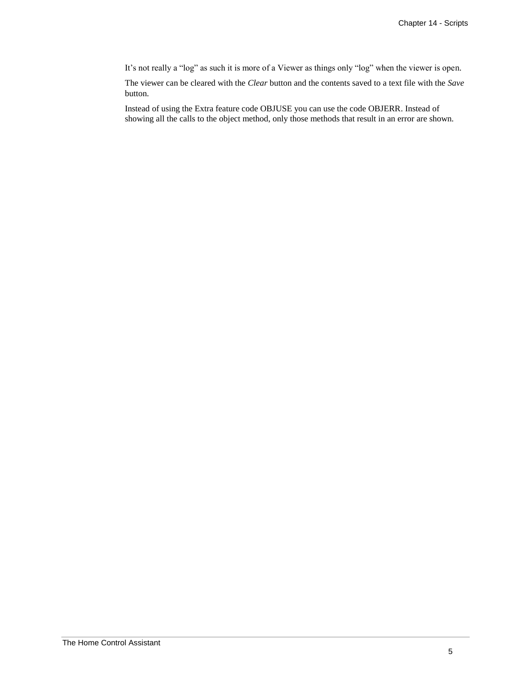It's not really a "log" as such it is more of a Viewer as things only "log" when the viewer is open.

The viewer can be cleared with the *Clear* button and the contents saved to a text file with the *Save* button.

Instead of using the Extra feature code OBJUSE you can use the code OBJERR. Instead of showing all the calls to the object method, only those methods that result in an error are shown.